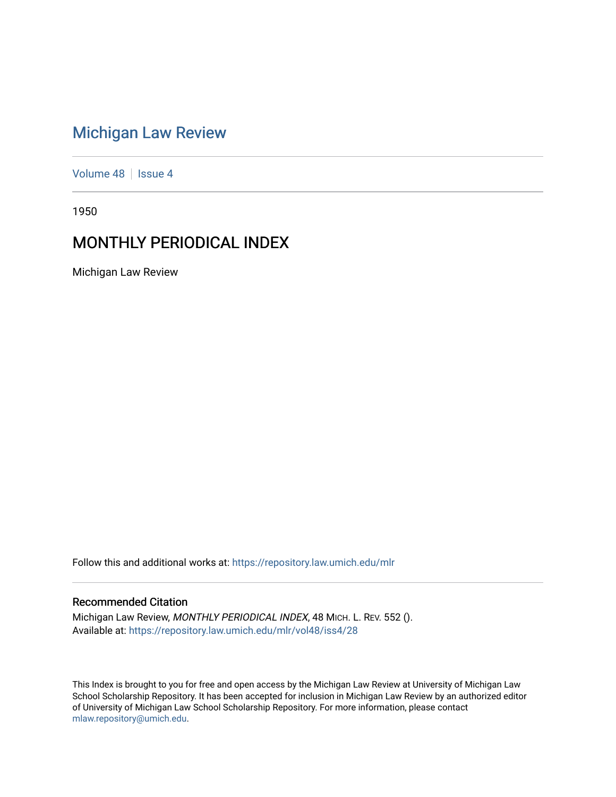# [Michigan Law Review](https://repository.law.umich.edu/mlr)

[Volume 48](https://repository.law.umich.edu/mlr/vol48) | [Issue 4](https://repository.law.umich.edu/mlr/vol48/iss4)

1950

# MONTHLY PERIODICAL INDEX

Michigan Law Review

Follow this and additional works at: [https://repository.law.umich.edu/mlr](https://repository.law.umich.edu/mlr?utm_source=repository.law.umich.edu%2Fmlr%2Fvol48%2Fiss4%2F28&utm_medium=PDF&utm_campaign=PDFCoverPages) 

# Recommended Citation

Michigan Law Review, MONTHLY PERIODICAL INDEX, 48 MICH. L. REV. 552 (). Available at: [https://repository.law.umich.edu/mlr/vol48/iss4/28](https://repository.law.umich.edu/mlr/vol48/iss4/28?utm_source=repository.law.umich.edu%2Fmlr%2Fvol48%2Fiss4%2F28&utm_medium=PDF&utm_campaign=PDFCoverPages) 

This Index is brought to you for free and open access by the Michigan Law Review at University of Michigan Law School Scholarship Repository. It has been accepted for inclusion in Michigan Law Review by an authorized editor of University of Michigan Law School Scholarship Repository. For more information, please contact [mlaw.repository@umich.edu.](mailto:mlaw.repository@umich.edu)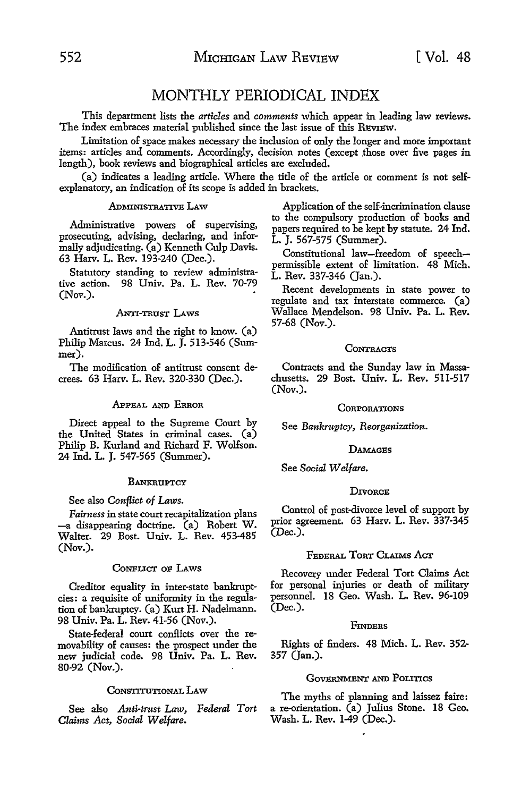# MONTHLY PERIODICAL INDEX

This department lists the *articles* and *comments* which appear in leading law reviews. The index embraces material published since the last issue of this REVIEW.

Limitation of space makes necessary the inclusion of only the longer and more important items: articles and comments. Accordingly, decision notes (except those over five pages in length), book reviews and biographical articles are excluded.

(a) indicates a leading article. Where the title of the article or comment is not selfexplanatory, an indication of its scope is added in brackets.

# ADMINISTRATIVE LAW

Administrative powers of supervising, prosecuting, advising, declaring, and informally adjudicating. (a) Kenneth Culp Davis. 63 Harv. L. Rev. 193-240 (Dec.).

Statutory standing to review administrative action. 98 Univ. Pa. L. Rev. 70-79 (Nov.).

#### ANTI-TRUST LAWS

Antitrust laws and the right to know. (a) Philip Marcus. 24 Ind. L. J. 513-546 (Summer).

The modification of antitrust consent decrees. 63 Harv. L. Rev. 320-330 (Dec.).

# .APPEAL AND ERROR

Direct appeal to the Supreme Court by the United States in criminal cases. (a) Philip B. Kurland and Richard F. Wolfson. 24 Ind. L. J. 547-565 (Summer).

# **BANKRUPTCY**

#### See also *Conflict of Laws.*

*Fairness* in state court recapitalization plans -a disappearing doctrine. (a) Robert W. Walter. 29 Bost. Univ. L. Rev. 453-485 (Nov.).

#### CoNFLICT oF LAws

Creditor equality in inter-state bankruptcies: a requisite of uniformity in the regulation of bankruptcy. (a) Kurt H. Nadelmann. 98 Univ. Pa. L. Rev. 41-56 (Nov.).

State-federal court conflicts over the removability of causes: the prospect under the new judicial code. 98 Univ. Pa. L. Rev. 80-92 (Nov.).

#### CONSTITUTIONAL LAW

See also *Anti-trust Law, Federal Tort Claims Act, Social Welfare.* 

Application of the self-incrimination clause to the compulsory production of books and papers required to be kept by statute. 24 Ind. L. J. 567-575 (Summer).

Constitutional law-freedom of speechpermissible extent of limitation. 48 Mich. L. Rev. 337-346 (Jan.).

Recent developments in state power to regulate and tax interstate commerce. (a) Wallace Mendelson. 98 Univ. Pa. L. Rev. 57-68 (Nov.).

#### **CONTRACTS**

Contracts and the Sunday law in Massachusetts. 29 Bost. Univ. L. Rev. 511-517  $(Now.)$ .

### **CORPORATIONS**

See *Bankruptcy, Reorganization.* 

#### **DAMAGES**

See *Social Welfare.* 

#### **DIVORCE**

Control of post-divorce level of support by prior agreement. 63 Harv. L. Rev. 337-345 (Dec.).

# FEDERAL TORT CLAIMS ACT

Recovery under Federal Tort Claims Act for personal injuries or death of military personnel. 18 Geo. Wash. L. Rev. 96-109 (Dec.).

#### **FINDERS**

Rights of finders. 48 Mich. L. Rev. 352- 357 (Jan.).

#### GOVERNMENT AND POLITICS

The myths of planning and laissez faire: a re-orientation. (a) Julius Stone. **18** Geo. Wash. L. Rev. 1-49 (Dec.).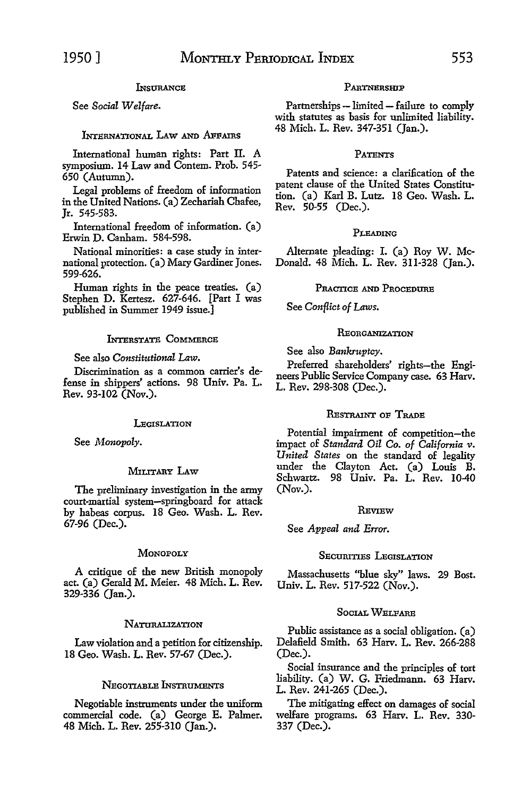# **INSURANCE**

# See *Social Welfare.*

# INTERNATIONAL LAW AND AFFAIRS

International human rights: Part II. A symposium. 14 Law and Contem. Prob. 545- 650 (Autumn).

Legal problems of freedom of information in the United Nations. (a) Zechariah Chafee, Jr. 545-583.

International freedom of information. (a) Erwin D. Canham. 584-598.

National minorities: a case study in international protection. (a) Mary Gardiner Jones. 599-626.

Human rights in the peace treaties. (a) Stephen D. Kertesz. 627-646. [Part I was published in Summer 1949 issue.]

# INTERSTATE COMMERCE

### See also *Constitutional Law.*

Discrimination as a common carrier's defense in shippers' actions. 98 Univ. Pa. L. Rev. 93-102 (Nov.).

# **LEGISLATION**

See *Monopoly.* 

# MILITARY LAW

The preliminary investigation in the army court-martial system-springboard for attack by habeas corpus. 18 Geo. Wash. L. Rev. 67-96 (Dec.).

#### **MONOPOLY**

A critique of the new British monopoly act. (a) Gerald M. Meier. 48 Mich. L. Rev. 329-336 (Jan.).

#### **NATURALIZATION**

Law violation and a petition for citizenship. 18 Geo. Wash. L. Rev. 57-67 (Dec.).

## NEGOTIABLE INSTRUMENTS

Negotiable instruments under the uniform commercial code. (a) George E. Palmer. 48 Mich. L. Rev. 255-310 (Jan.).

#### PARTNERSHIP

Partnerships - limited - failure to comply with statutes as basis for unlimited liability. 48 Mich. L. Rev. 347-351 (Jan.).

#### **PATENTS**

Patents and science: a clarification of the patent clause of the United States Constitution. (a) Karl B. Lutz. 18 Geo. Wash. L. Rev. 50-55 (Dec.).

#### PLEADING

Alternate pleading: I. (a) Roy W. Mc-Donald. 48 Mich. L. Rev. 311-328 (Jan.).

### PRACTICE AND PROCEDURE

See *Conflict of Laws.* 

#### **REORGANIZATION**

See also *Bankruptcy.* 

Preferred shareholders' rights-the Engineers Public Service Company case. 63 Harv. L. Rev. 298-308 (Dec.).

#### RESTRAINT OF TRADE

Potential impairment of competition-the impact of *Standard Oil* Co. *of California v. United States* on the standard of legality under the Clayton Act. (a) Louis B. Schwartz. 98 Univ. Pa. L. Rev. 10-40 (Nov.).

#### **REVIEW**

See *Appeal and Error.* 

# SECURITIES LEGISLATION

Massachusetts ''blue sky" laws. 29 Bost. Univ. L. Rev. 517-522 (Nov.).

### SocIAL WELFARE

Public assistance as a social obligation. (a) Delafield Smith. 63 Harv. L. Rev. 266-288 (Dec.).

Social insurance and the principles of tort liability. (a) W. G. Friedmann. 63 Harv. L. Rev. 241-265 (Dec.).

The mitigating effect on damages of social welfare programs. 63 Harv. L. Rev. 330- 337 (Dec.).